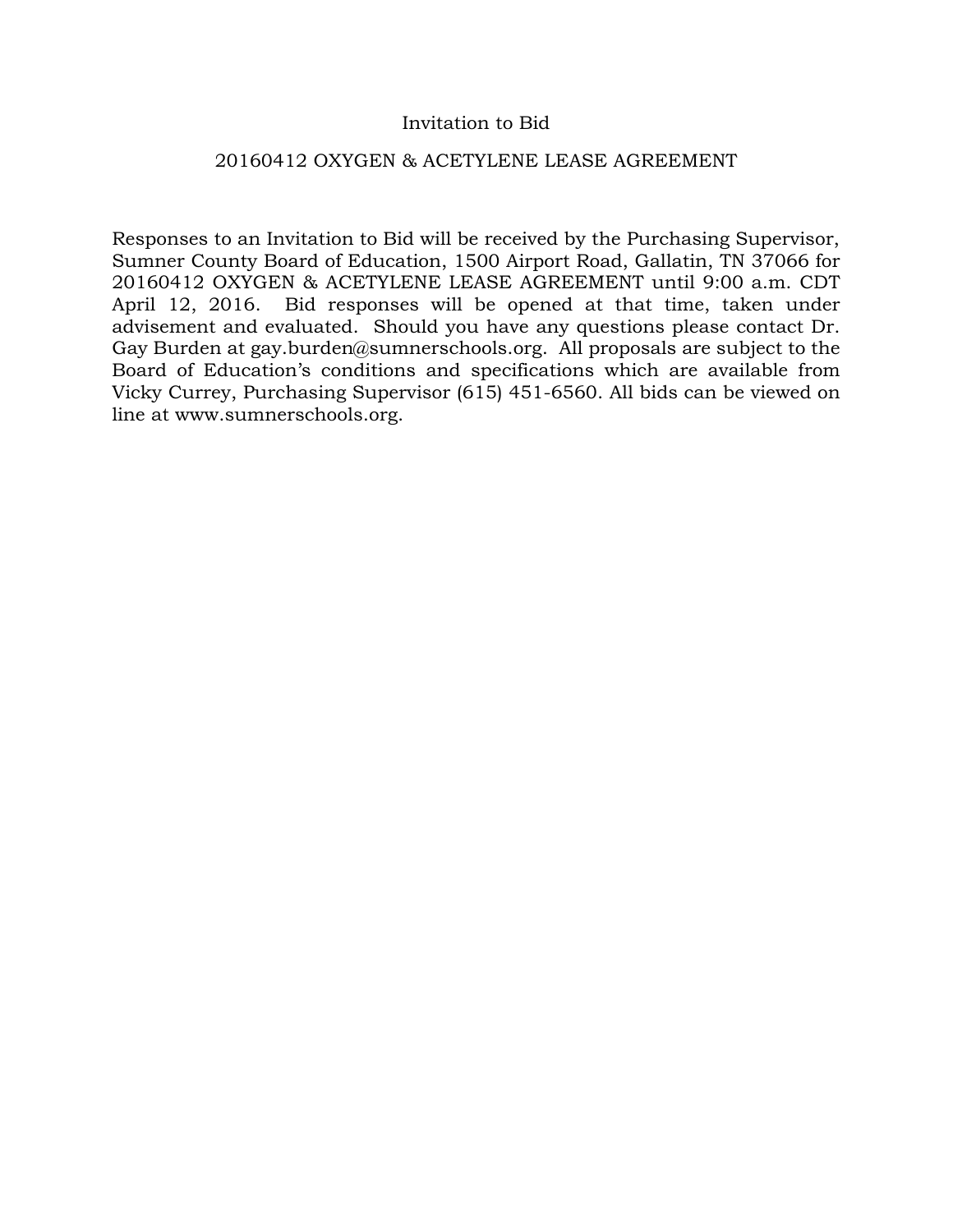## Invitation to Bid

### 20160412 OXYGEN & ACETYLENE LEASE AGREEMENT

Responses to an Invitation to Bid will be received by the Purchasing Supervisor, Sumner County Board of Education, 1500 Airport Road, Gallatin, TN 37066 for 20160412 OXYGEN & ACETYLENE LEASE AGREEMENT until 9:00 a.m. CDT April 12, 2016. Bid responses will be opened at that time, taken under advisement and evaluated. Should you have any questions please contact Dr. Gay Burden at gay.burden@sumnerschools.org. All proposals are subject to the Board of Education's conditions and specifications which are available from Vicky Currey, Purchasing Supervisor (615) 451-6560. All bids can be viewed on line at www.sumnerschools.org.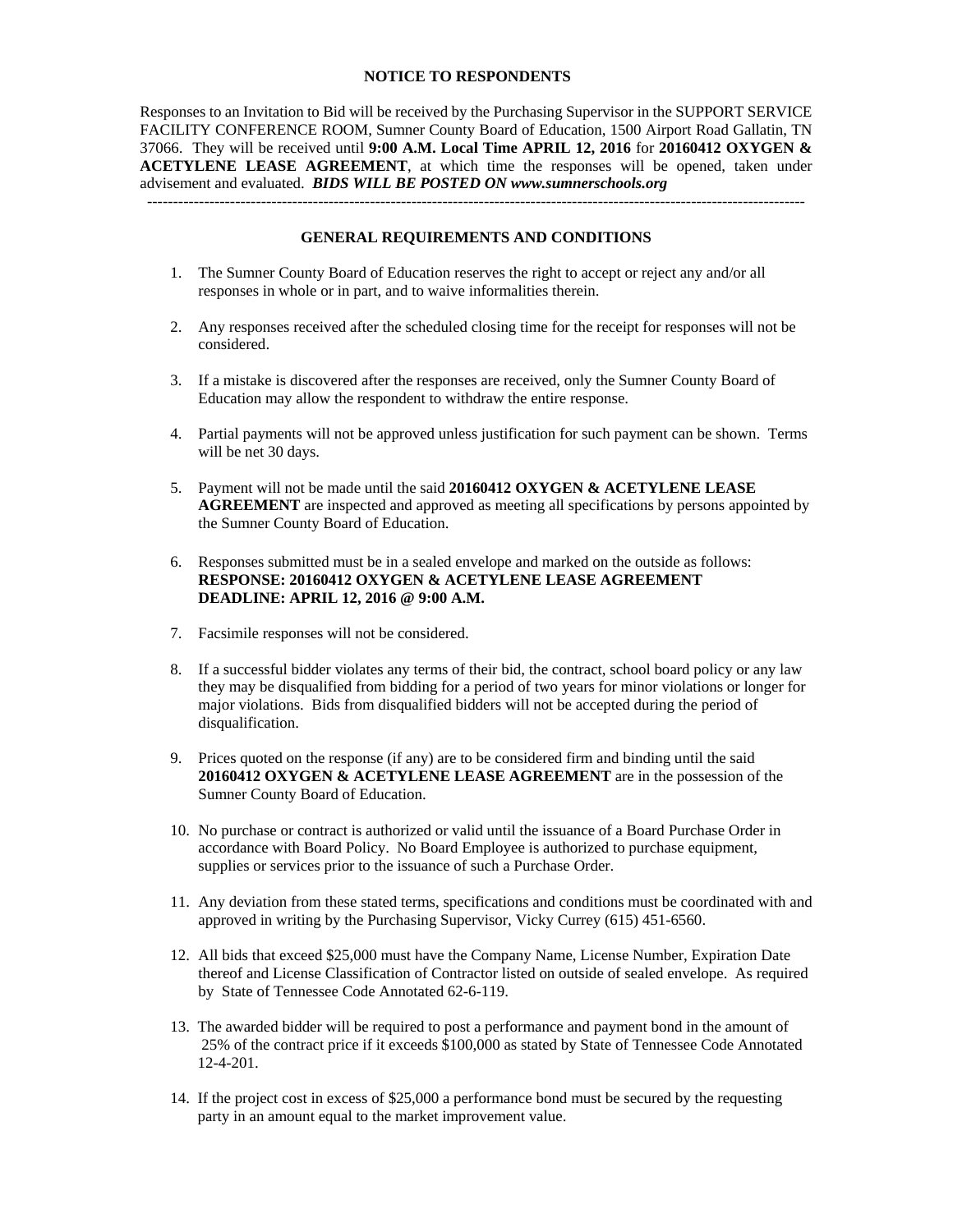#### **NOTICE TO RESPONDENTS**

Responses to an Invitation to Bid will be received by the Purchasing Supervisor in the SUPPORT SERVICE FACILITY CONFERENCE ROOM, Sumner County Board of Education, 1500 Airport Road Gallatin, TN 37066. They will be received until **9:00 A.M. Local Time APRIL 12, 2016** for **20160412 OXYGEN & ACETYLENE LEASE AGREEMENT**, at which time the responses will be opened, taken under advisement and evaluated. *BIDS WILL BE POSTED ON www.sumnerschools.org* 

#### **GENERAL REQUIREMENTS AND CONDITIONS**

-------------------------------------------------------------------------------------------------------------------------------

- 1. The Sumner County Board of Education reserves the right to accept or reject any and/or all responses in whole or in part, and to waive informalities therein.
- 2. Any responses received after the scheduled closing time for the receipt for responses will not be considered.
- 3. If a mistake is discovered after the responses are received, only the Sumner County Board of Education may allow the respondent to withdraw the entire response.
- 4. Partial payments will not be approved unless justification for such payment can be shown. Terms will be net 30 days.
- 5. Payment will not be made until the said **20160412 OXYGEN & ACETYLENE LEASE AGREEMENT** are inspected and approved as meeting all specifications by persons appointed by the Sumner County Board of Education.
- 6. Responses submitted must be in a sealed envelope and marked on the outside as follows: **RESPONSE: 20160412 OXYGEN & ACETYLENE LEASE AGREEMENT DEADLINE: APRIL 12, 2016 @ 9:00 A.M.**
- 7. Facsimile responses will not be considered.
- 8. If a successful bidder violates any terms of their bid, the contract, school board policy or any law they may be disqualified from bidding for a period of two years for minor violations or longer for major violations. Bids from disqualified bidders will not be accepted during the period of disqualification.
- 9. Prices quoted on the response (if any) are to be considered firm and binding until the said **20160412 OXYGEN & ACETYLENE LEASE AGREEMENT** are in the possession of the Sumner County Board of Education.
- 10. No purchase or contract is authorized or valid until the issuance of a Board Purchase Order in accordance with Board Policy. No Board Employee is authorized to purchase equipment, supplies or services prior to the issuance of such a Purchase Order.
- 11. Any deviation from these stated terms, specifications and conditions must be coordinated with and approved in writing by the Purchasing Supervisor, Vicky Currey (615) 451-6560.
- 12. All bids that exceed \$25,000 must have the Company Name, License Number, Expiration Date thereof and License Classification of Contractor listed on outside of sealed envelope. As required by State of Tennessee Code Annotated 62-6-119.
- 13. The awarded bidder will be required to post a performance and payment bond in the amount of 25% of the contract price if it exceeds \$100,000 as stated by State of Tennessee Code Annotated 12-4-201.
- 14. If the project cost in excess of \$25,000 a performance bond must be secured by the requesting party in an amount equal to the market improvement value.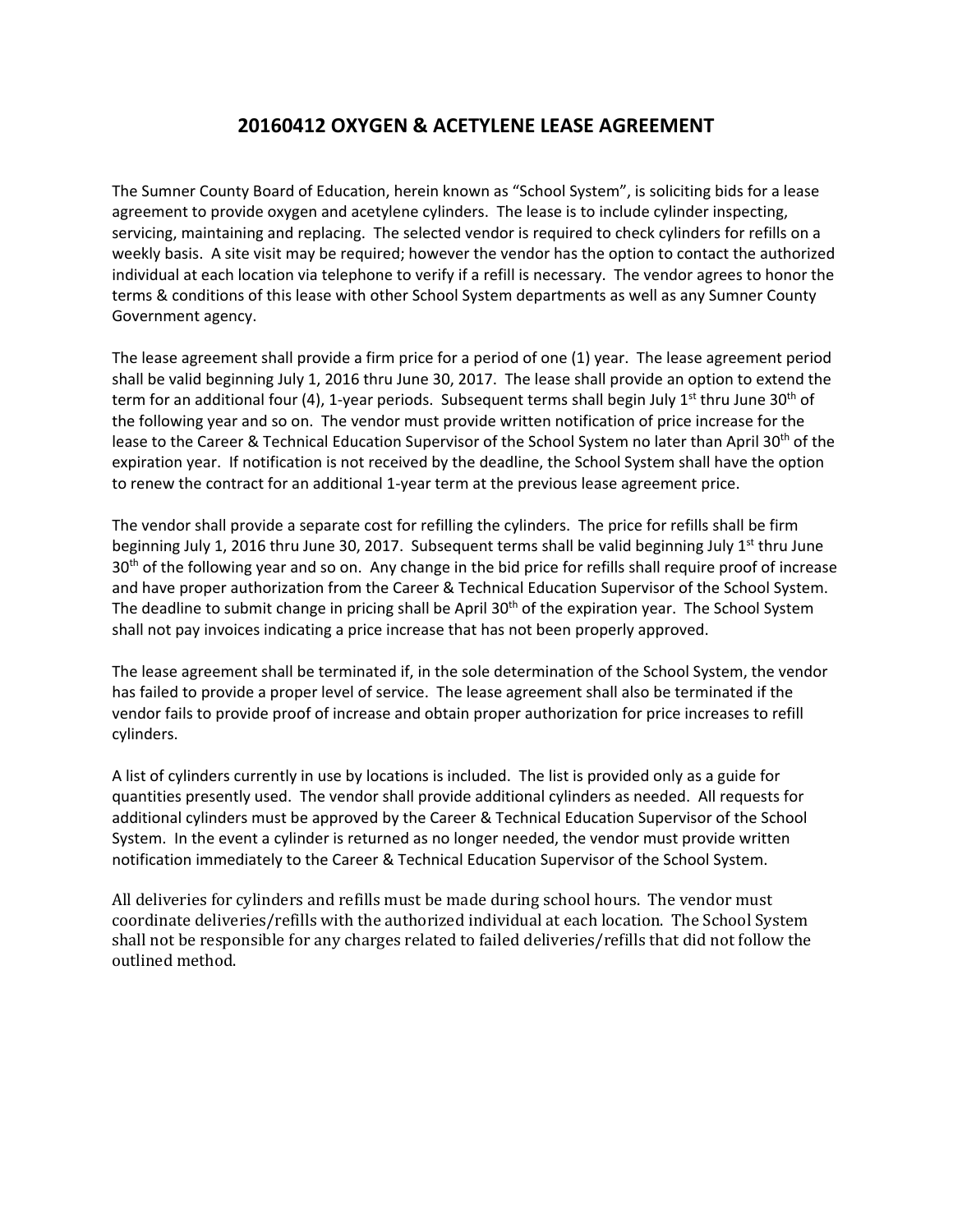# **20160412 OXYGEN & ACETYLENE LEASE AGREEMENT**

The Sumner County Board of Education, herein known as "School System", is soliciting bids for a lease agreement to provide oxygen and acetylene cylinders. The lease is to include cylinder inspecting, servicing, maintaining and replacing. The selected vendor is required to check cylinders for refills on a weekly basis. A site visit may be required; however the vendor has the option to contact the authorized individual at each location via telephone to verify if a refill is necessary. The vendor agrees to honor the terms & conditions of this lease with other School System departments as well as any Sumner County Government agency.

The lease agreement shall provide a firm price for a period of one (1) year. The lease agreement period shall be valid beginning July 1, 2016 thru June 30, 2017. The lease shall provide an option to extend the term for an additional four (4), 1-year periods. Subsequent terms shall begin July 1<sup>st</sup> thru June 30<sup>th</sup> of the following year and so on. The vendor must provide written notification of price increase for the lease to the Career & Technical Education Supervisor of the School System no later than April 30<sup>th</sup> of the expiration year. If notification is not received by the deadline, the School System shall have the option to renew the contract for an additional 1‐year term at the previous lease agreement price.

The vendor shall provide a separate cost for refilling the cylinders. The price for refills shall be firm beginning July 1, 2016 thru June 30, 2017. Subsequent terms shall be valid beginning July 1<sup>st</sup> thru June 30<sup>th</sup> of the following year and so on. Any change in the bid price for refills shall require proof of increase and have proper authorization from the Career & Technical Education Supervisor of the School System. The deadline to submit change in pricing shall be April 30<sup>th</sup> of the expiration year. The School System shall not pay invoices indicating a price increase that has not been properly approved.

The lease agreement shall be terminated if, in the sole determination of the School System, the vendor has failed to provide a proper level of service. The lease agreement shall also be terminated if the vendor fails to provide proof of increase and obtain proper authorization for price increases to refill cylinders.

A list of cylinders currently in use by locations is included. The list is provided only as a guide for quantities presently used. The vendor shall provide additional cylinders as needed. All requests for additional cylinders must be approved by the Career & Technical Education Supervisor of the School System. In the event a cylinder is returned as no longer needed, the vendor must provide written notification immediately to the Career & Technical Education Supervisor of the School System.

All deliveries for cylinders and refills must be made during school hours. The vendor must coordinate deliveries/refills with the authorized individual at each location. The School System shall not be responsible for any charges related to failed deliveries/refills that did not follow the outlined method.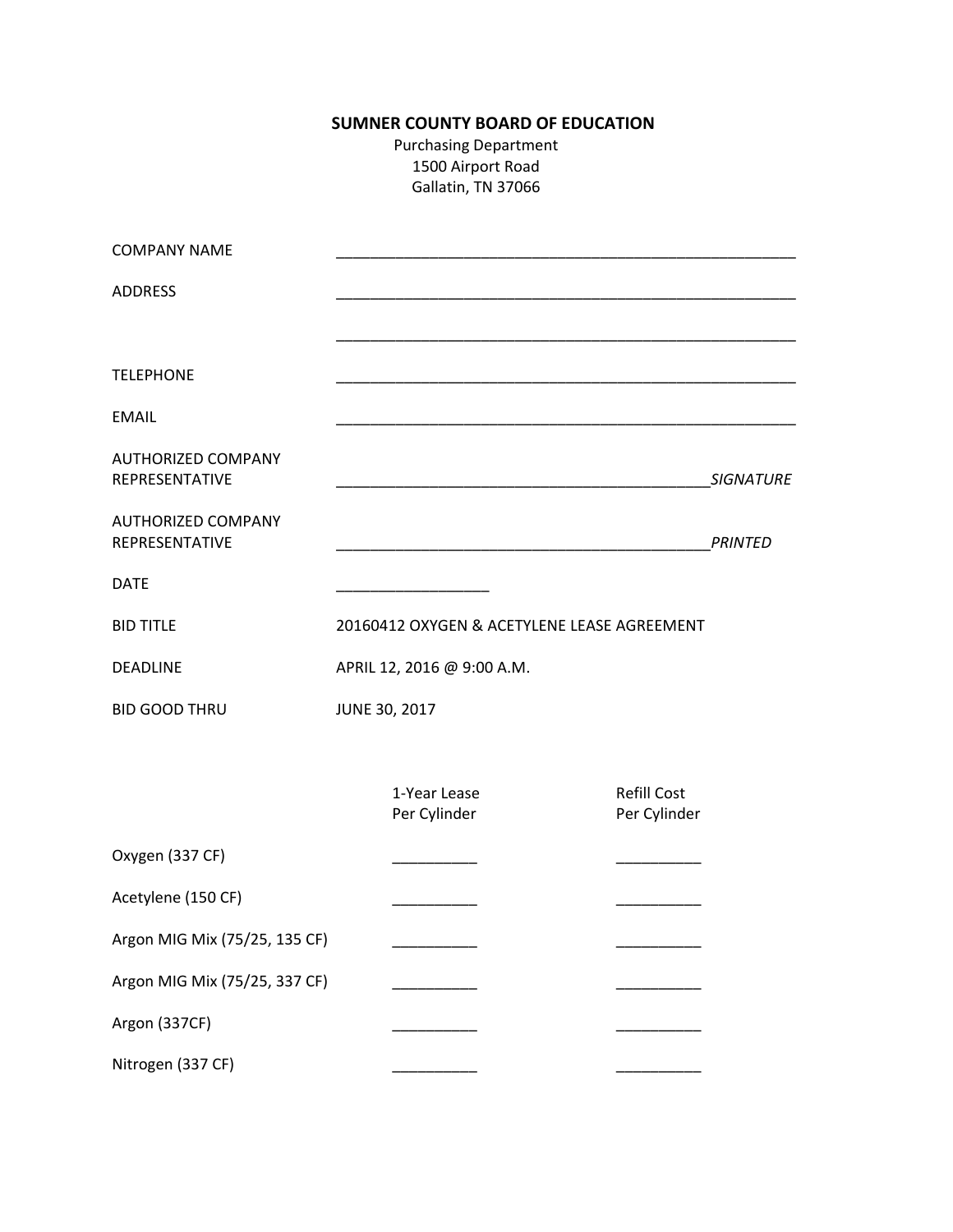# **SUMNER COUNTY BOARD OF EDUCATION**

Purchasing Department 1500 Airport Road Gallatin, TN 37066

| <b>COMPANY NAME</b>                         |                            |                                             |  |                                    |                  |
|---------------------------------------------|----------------------------|---------------------------------------------|--|------------------------------------|------------------|
| <b>ADDRESS</b>                              |                            |                                             |  |                                    |                  |
|                                             |                            |                                             |  |                                    |                  |
| <b>TELEPHONE</b>                            |                            |                                             |  |                                    |                  |
| <b>EMAIL</b>                                |                            |                                             |  |                                    |                  |
| <b>AUTHORIZED COMPANY</b><br>REPRESENTATIVE |                            |                                             |  |                                    | <b>SIGNATURE</b> |
| <b>AUTHORIZED COMPANY</b><br>REPRESENTATIVE |                            |                                             |  |                                    | <b>PRINTED</b>   |
| <b>DATE</b>                                 |                            |                                             |  |                                    |                  |
| <b>BID TITLE</b>                            |                            | 20160412 OXYGEN & ACETYLENE LEASE AGREEMENT |  |                                    |                  |
| <b>DEADLINE</b>                             | APRIL 12, 2016 @ 9:00 A.M. |                                             |  |                                    |                  |
| <b>BID GOOD THRU</b>                        | <b>JUNE 30, 2017</b>       |                                             |  |                                    |                  |
|                                             |                            |                                             |  |                                    |                  |
|                                             |                            | 1-Year Lease<br>Per Cylinder                |  | <b>Refill Cost</b><br>Per Cylinder |                  |
| Oxygen (337 CF)                             |                            |                                             |  |                                    |                  |
| Acetylene (150 CF)                          |                            |                                             |  |                                    |                  |
| Argon MIG Mix (75/25, 135 CF)               |                            |                                             |  |                                    |                  |
| Argon MIG Mix (75/25, 337 CF)               |                            |                                             |  |                                    |                  |
| Argon (337CF)                               |                            |                                             |  |                                    |                  |
| Nitrogen (337 CF)                           |                            |                                             |  |                                    |                  |